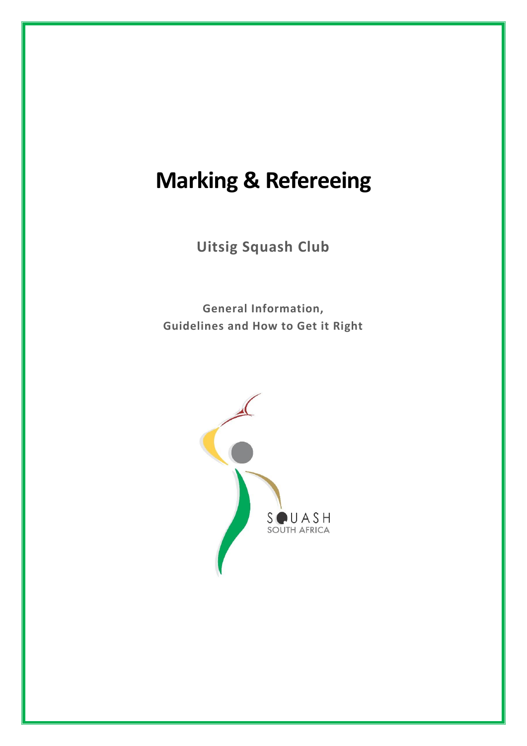# **Marking & Refereeing**

**Uitsig Squash Club**

**General Information, Guidelines and How to Get it Right**

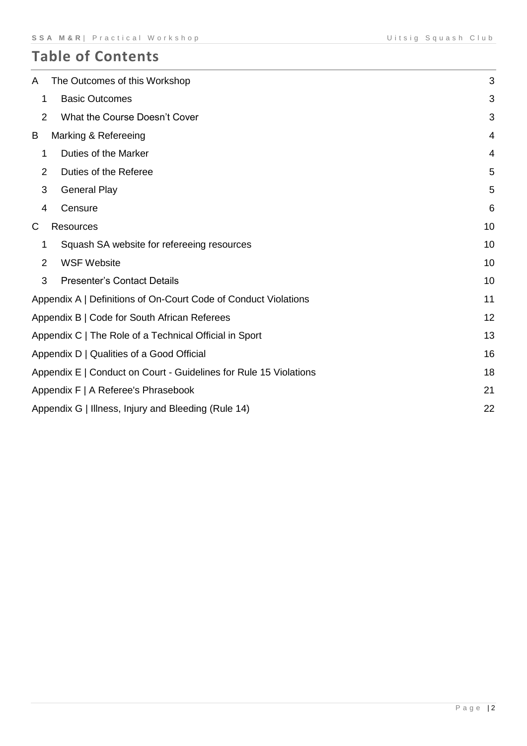# **Table of Contents**

| A              | The Outcomes of this Workshop                                     | 3              |
|----------------|-------------------------------------------------------------------|----------------|
| 1              | <b>Basic Outcomes</b>                                             | 3              |
| 2              | What the Course Doesn't Cover                                     | 3              |
| B              | Marking & Refereeing                                              | $\overline{4}$ |
| 1              | Duties of the Marker                                              | $\overline{4}$ |
| 2              | Duties of the Referee                                             | 5              |
| 3              | <b>General Play</b>                                               | 5              |
| 4              | Censure                                                           | 6              |
| C              | <b>Resources</b>                                                  | 10             |
| 1              | Squash SA website for refereeing resources                        | 10             |
| $\overline{2}$ | <b>WSF Website</b>                                                | 10             |
| 3              | <b>Presenter's Contact Details</b>                                | 10             |
|                | Appendix A   Definitions of On-Court Code of Conduct Violations   | 11             |
|                | Appendix B   Code for South African Referees                      | 12             |
|                | Appendix C   The Role of a Technical Official in Sport            | 13             |
|                | Appendix D   Qualities of a Good Official                         | 16             |
|                | Appendix E   Conduct on Court - Guidelines for Rule 15 Violations | 18             |
|                | Appendix F   A Referee's Phrasebook                               | 21             |
|                | Appendix G   Illness, Injury and Bleeding (Rule 14)               | 22             |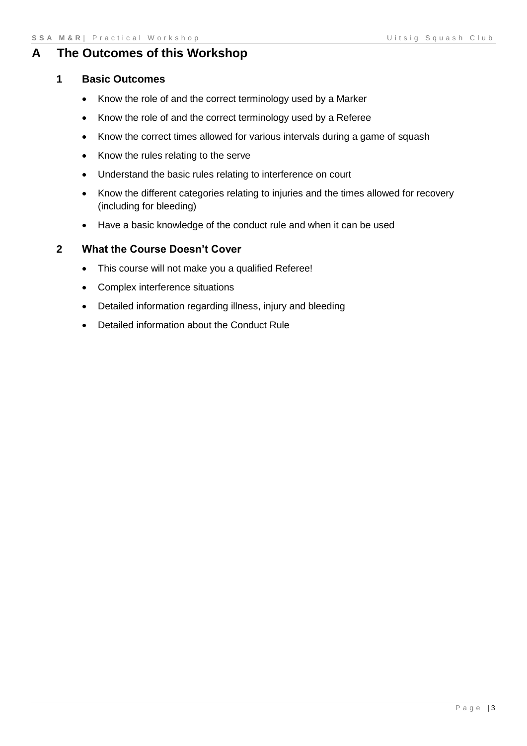# <span id="page-2-1"></span><span id="page-2-0"></span>**A The Outcomes of this Workshop**

#### **1 Basic Outcomes**

- Know the role of and the correct terminology used by a Marker
- Know the role of and the correct terminology used by a Referee
- Know the correct times allowed for various intervals during a game of squash
- Know the rules relating to the serve
- Understand the basic rules relating to interference on court
- Know the different categories relating to injuries and the times allowed for recovery (including for bleeding)
- Have a basic knowledge of the conduct rule and when it can be used

## <span id="page-2-2"></span>**2 What the Course Doesn't Cover**

- This course will not make you a qualified Referee!
- Complex interference situations
- Detailed information regarding illness, injury and bleeding
- Detailed information about the Conduct Rule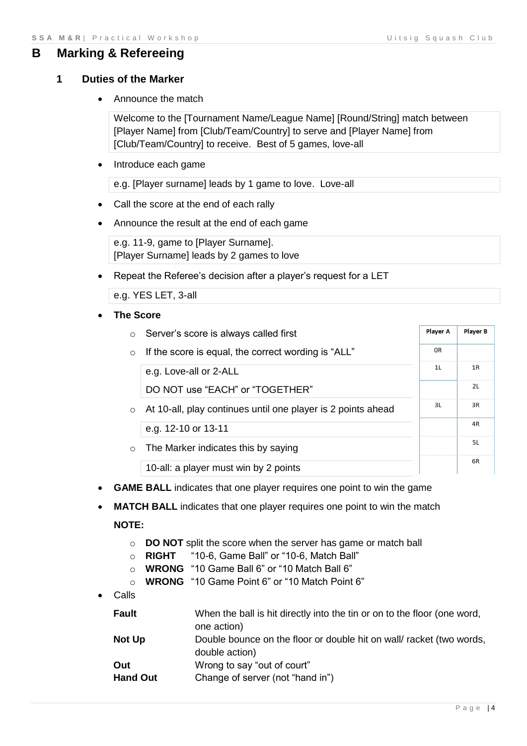## <span id="page-3-1"></span><span id="page-3-0"></span>**B Marking & Refereeing**

#### **1 Duties of the Marker**

• Announce the match

Welcome to the [Tournament Name/League Name] [Round/String] match between [Player Name] from [Club/Team/Country] to serve and [Player Name] from [Club/Team/Country] to receive. Best of 5 games, love-all

• Introduce each game

e.g. [Player surname] leads by 1 game to love. Love-all

- Call the score at the end of each rally
- Announce the result at the end of each game

e.g. 11-9, game to [Player Surname]. [Player Surname] leads by 2 games to love

Repeat the Referee's decision after a player's request for a LET

e.g. YES LET, 3-all

**The Score**

| $\circ$ | Server's score is always called first                        | Player A | <b>Player B</b> |
|---------|--------------------------------------------------------------|----------|-----------------|
| $\circ$ | If the score is equal, the correct wording is "ALL"          | 0R       |                 |
|         | e.g. Love-all or 2-ALL                                       | 11       | 1R              |
|         | DO NOT use "EACH" or "TOGETHER"                              |          | 2L              |
| $\circ$ | At 10-all, play continues until one player is 2 points ahead | 31       | 3R              |
|         | e.g. 12-10 or 13-11                                          |          | 4R              |
| $\circ$ | The Marker indicates this by saying                          |          | 5L              |
|         | 10-all: a player must win by 2 points                        |          | 6R              |

- **GAME BALL** indicates that one player requires one point to win the game
- **MATCH BALL** indicates that one player requires one point to win the match

#### **NOTE:**

- o **DO NOT** split the score when the server has game or match ball
- o **RIGHT** "10-6, Game Ball" or "10-6, Match Ball"
- o **WRONG** "10 Game Ball 6" or "10 Match Ball 6"
- o **WRONG** "10 Game Point 6" or "10 Match Point 6"
- Calls

| <b>Fault</b> | When the ball is hit directly into the tin or on to the floor (one word,<br>one action) |
|--------------|-----------------------------------------------------------------------------------------|
| Not Up       | Double bounce on the floor or double hit on wall racket (two words,<br>double action)   |

- **Out** Wrong to say "out of court"
- **Hand Out** Change of server (not "hand in")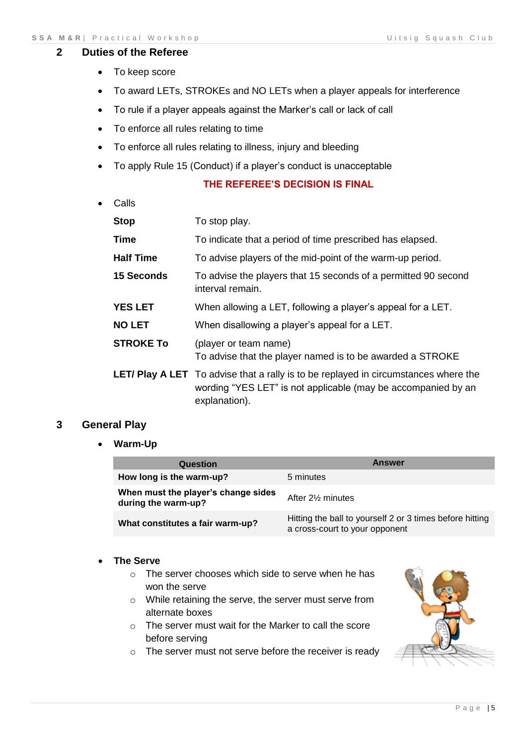#### <span id="page-4-0"></span>**2 Duties of the Referee**

- To keep score
- To award LETs, STROKEs and NO LETs when a player appeals for interference
- To rule if a player appeals against the Marker's call or lack of call
- To enforce all rules relating to time
- To enforce all rules relating to illness, injury and bleeding
- To apply Rule 15 (Conduct) if a player's conduct is unacceptable

#### **THE REFEREE'S DECISION IS FINAL**

Calls

| <b>Stop</b>      | To stop play.                                                                                                                                                                |
|------------------|------------------------------------------------------------------------------------------------------------------------------------------------------------------------------|
| <b>Time</b>      | To indicate that a period of time prescribed has elapsed.                                                                                                                    |
| <b>Half Time</b> | To advise players of the mid-point of the warm-up period.                                                                                                                    |
| 15 Seconds       | To advise the players that 15 seconds of a permitted 90 second<br>interval remain.                                                                                           |
| <b>YES LET</b>   | When allowing a LET, following a player's appeal for a LET.                                                                                                                  |
| <b>NO LET</b>    | When disallowing a player's appeal for a LET.                                                                                                                                |
| <b>STROKE To</b> | (player or team name)<br>To advise that the player named is to be awarded a STROKE                                                                                           |
|                  | <b>LET/ Play A LET</b> To advise that a rally is to be replayed in circumstances where the<br>wording "YES LET" is not applicable (may be accompanied by an<br>explanation). |

#### <span id="page-4-1"></span>**3 General Play**

**Warm-Up**

| Question                                                   | <b>Answer</b>                                                                              |
|------------------------------------------------------------|--------------------------------------------------------------------------------------------|
| How long is the warm-up?                                   | 5 minutes                                                                                  |
| When must the player's change sides<br>during the warm-up? | After 2% minutes                                                                           |
| What constitutes a fair warm-up?                           | Hitting the ball to yourself 2 or 3 times before hitting<br>a cross-court to your opponent |

#### **The Serve**

- o The server chooses which side to serve when he has won the serve
- o While retaining the serve, the server must serve from alternate boxes
- o The server must wait for the Marker to call the score before serving
- o The server must not serve before the receiver is ready

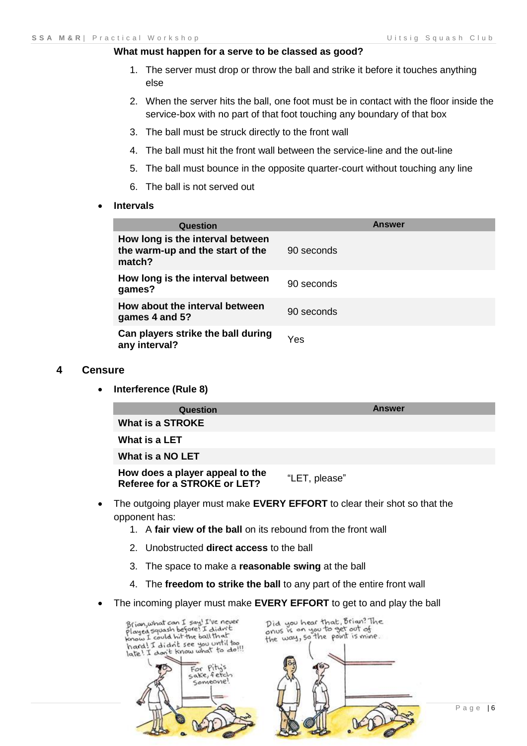#### **What must happen for a serve to be classed as good?**

- 1. The server must drop or throw the ball and strike it before it touches anything else
- 2. When the server hits the ball, one foot must be in contact with the floor inside the service-box with no part of that foot touching any boundary of that box
- 3. The ball must be struck directly to the front wall
- 4. The ball must hit the front wall between the service-line and the out-line
- 5. The ball must bounce in the opposite quarter-court without touching any line
- 6. The ball is not served out
- **Intervals**

| Question                                                                       | <b>Answer</b> |
|--------------------------------------------------------------------------------|---------------|
| How long is the interval between<br>the warm-up and the start of the<br>match? | 90 seconds    |
| How long is the interval between<br>games?                                     | 90 seconds    |
| How about the interval between<br>games 4 and 5?                               | 90 seconds    |
| Can players strike the ball during<br>any interval?                            | Yes           |

#### <span id="page-5-0"></span>**4 Censure**

**Interference (Rule 8)**

| Question                                                        | Answer        |
|-----------------------------------------------------------------|---------------|
| What is a STROKE                                                |               |
| What is a LET                                                   |               |
| What is a NO LET                                                |               |
| How does a player appeal to the<br>Referee for a STROKE or LET? | "LET, please" |

- The outgoing player must make **EVERY EFFORT** to clear their shot so that the opponent has:
	- 1. A **fair view of the ball** on its rebound from the front wall
	- 2. Unobstructed **direct access** to the ball
	- 3. The space to make a **reasonable swing** at the ball
	- 4. The **freedom to strike the ball** to any part of the entire front wall
- The incoming player must make **EVERY EFFORT** to get to and play the ball



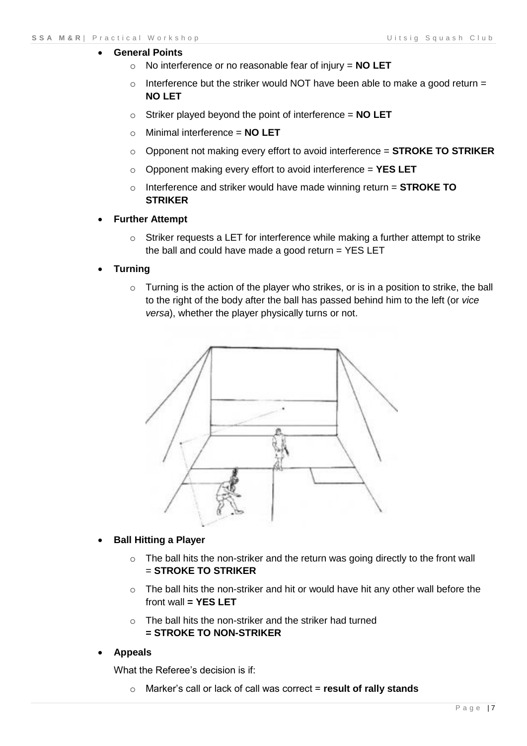#### **General Points**

- o No interference or no reasonable fear of injury = **NO LET**
- $\circ$  Interference but the striker would NOT have been able to make a good return = **NO LET**
- o Striker played beyond the point of interference = **NO LET**
- o Minimal interference = **NO LET**
- o Opponent not making every effort to avoid interference = **STROKE TO STRIKER**
- o Opponent making every effort to avoid interference = **YES LET**
- o Interference and striker would have made winning return = **STROKE TO STRIKER**

#### **Further Attempt**

- o Striker requests a LET for interference while making a further attempt to strike the ball and could have made a good return  $=$  YES LET
- **Turning**
	- o Turning is the action of the player who strikes, or is in a position to strike, the ball to the right of the body after the ball has passed behind him to the left (or *vice versa*), whether the player physically turns or not.



#### **Ball Hitting a Player**

- $\circ$  The ball hits the non-striker and the return was going directly to the front wall = **STROKE TO STRIKER**
- $\circ$  The ball hits the non-striker and hit or would have hit any other wall before the front wall **= YES LET**
- o The ball hits the non-striker and the striker had turned **= STROKE TO NON-STRIKER**

#### **Appeals**

What the Referee's decision is if:

o Marker's call or lack of call was correct = **result of rally stands**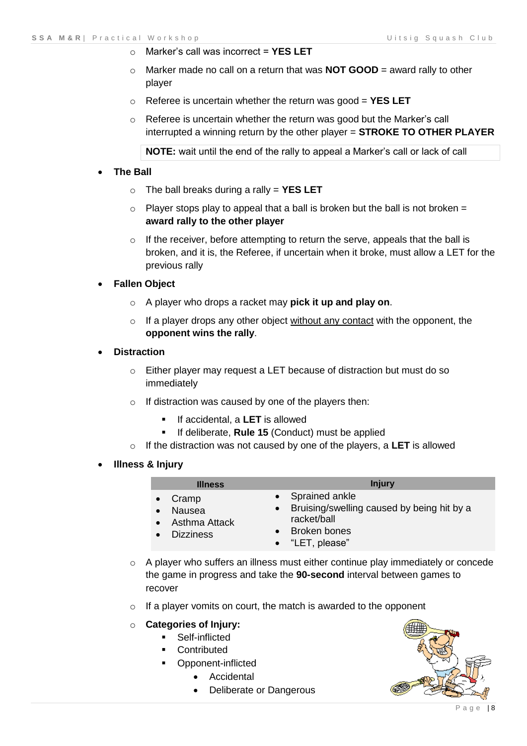- o Marker's call was incorrect = **YES LET**
- o Marker made no call on a return that was **NOT GOOD** = award rally to other player
- o Referee is uncertain whether the return was good = **YES LET**
- $\circ$  Referee is uncertain whether the return was good but the Marker's call interrupted a winning return by the other player = **STROKE TO OTHER PLAYER**

**NOTE:** wait until the end of the rally to appeal a Marker's call or lack of call

#### **The Ball**

- o The ball breaks during a rally = **YES LET**
- $\circ$  Player stops play to appeal that a ball is broken but the ball is not broken = **award rally to the other player**
- o If the receiver, before attempting to return the serve, appeals that the ball is broken, and it is, the Referee, if uncertain when it broke, must allow a LET for the previous rally

#### **Fallen Object**

- o A player who drops a racket may **pick it up and play on**.
- $\circ$  If a player drops any other object without any contact with the opponent, the **opponent wins the rally**.

#### **Distraction**

- $\circ$  Either player may request a LET because of distraction but must do so immediately
- o If distraction was caused by one of the players then:
	- **If accidental, a LET** is allowed
	- **If deliberate, Rule 15 (Conduct) must be applied**
- o If the distraction was not caused by one of the players, a **LET** is allowed
- **Illness & Injury**

|                                                                                | <b>Illness</b> | <b>Injury</b>                                                                                                      |
|--------------------------------------------------------------------------------|----------------|--------------------------------------------------------------------------------------------------------------------|
| Cramp<br>Nausea<br>$\bullet$<br>Asthma Attack<br>$\bullet$<br><b>Dizziness</b> |                | • Sprained ankle<br>• Bruising/swelling caused by being hit by a<br>racket/ball<br>Broken bones<br>• "LET, please" |

- $\circ$  A player who suffers an illness must either continue play immediately or concede the game in progress and take the **90-second** interval between games to recover
- $\circ$  If a player vomits on court, the match is awarded to the opponent

#### o **Categories of Injury:**

- **Self-inflicted**
- **Contributed**
- Opponent-inflicted
	- Accidental
	- Deliberate or Dangerous

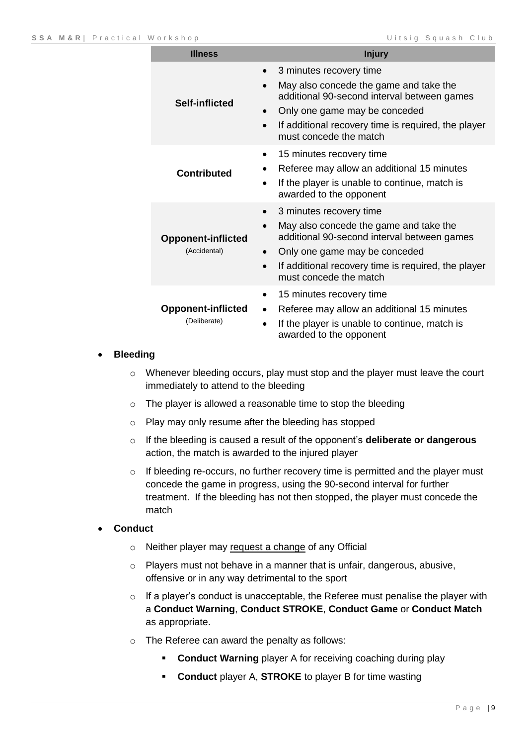| <b>Illness</b>                            | <b>Injury</b>                                                                                                                                                                                                                                   |
|-------------------------------------------|-------------------------------------------------------------------------------------------------------------------------------------------------------------------------------------------------------------------------------------------------|
| <b>Self-inflicted</b>                     | 3 minutes recovery time<br>May also concede the game and take the<br>additional 90-second interval between games<br>Only one game may be conceded<br>If additional recovery time is required, the player<br>$\bullet$<br>must concede the match |
| <b>Contributed</b>                        | 15 minutes recovery time<br>٠<br>Referee may allow an additional 15 minutes<br>If the player is unable to continue, match is<br>awarded to the opponent                                                                                         |
| <b>Opponent-inflicted</b><br>(Accidental) | 3 minutes recovery time<br>May also concede the game and take the<br>additional 90-second interval between games<br>Only one game may be conceded<br>If additional recovery time is required, the player<br>$\bullet$<br>must concede the match |
| <b>Opponent-inflicted</b><br>(Deliberate) | 15 minutes recovery time<br>$\bullet$<br>Referee may allow an additional 15 minutes<br>$\bullet$<br>If the player is unable to continue, match is<br>awarded to the opponent                                                                    |

#### **Bleeding**

- o Whenever bleeding occurs, play must stop and the player must leave the court immediately to attend to the bleeding
- o The player is allowed a reasonable time to stop the bleeding
- o Play may only resume after the bleeding has stopped
- o If the bleeding is caused a result of the opponent's **deliberate or dangerous** action, the match is awarded to the injured player
- $\circ$  If bleeding re-occurs, no further recovery time is permitted and the player must concede the game in progress, using the 90-second interval for further treatment. If the bleeding has not then stopped, the player must concede the match

#### **Conduct**

- o Neither player may request a change of any Official
- o Players must not behave in a manner that is unfair, dangerous, abusive, offensive or in any way detrimental to the sport
- $\circ$  If a player's conduct is unacceptable, the Referee must penalise the player with a **Conduct Warning**, **Conduct STROKE**, **Conduct Game** or **Conduct Match** as appropriate.
- o The Referee can award the penalty as follows:
	- **Conduct Warning** player A for receiving coaching during play
	- **Conduct** player A, **STROKE** to player B for time wasting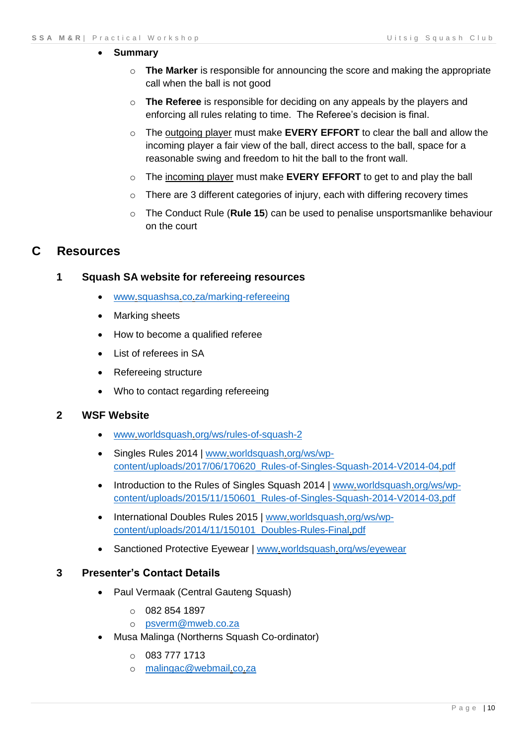#### **Summary**

- o **The Marker** is responsible for announcing the score and making the appropriate call when the ball is not good
- o **The Referee** is responsible for deciding on any appeals by the players and enforcing all rules relating to time. The Referee's decision is final.
- o The outgoing player must make **EVERY EFFORT** to clear the ball and allow the incoming player a fair view of the ball, direct access to the ball, space for a reasonable swing and freedom to hit the ball to the front wall.
- o The incoming player must make **EVERY EFFORT** to get to and play the ball
- o There are 3 different categories of injury, each with differing recovery times
- o The Conduct Rule (**Rule 15**) can be used to penalise unsportsmanlike behaviour on the court

### <span id="page-9-1"></span><span id="page-9-0"></span>**C Resources**

#### **1 Squash SA website for refereeing resources**

- [www.squashsa.co.za/marking-refereeing](http://www.squashsa.co.za/marking-refereeing)
- Marking sheets
- How to become a qualified referee
- List of referees in SA
- Refereeing structure
- Who to contact regarding refereeing

#### <span id="page-9-2"></span>**2 WSF Website**

- [www.worldsquash.org/ws/rules-of-squash-2](http://www.worldsquash.org/ws/rules-of-squash-2)
- Singles Rules 2014 | [www.worldsquash.org/ws/wp](http://www.worldsquash.org/ws/wp-content/uploads/2017/06/170620_Rules-of-Singles-Squash-2014-V2014-04.pdf)[content/uploads/2017/06/170620\\_Rules-of-Singles-Squash-2014-V2014-04.pdf](http://www.worldsquash.org/ws/wp-content/uploads/2017/06/170620_Rules-of-Singles-Squash-2014-V2014-04.pdf)
- Introduction to the Rules of Singles Squash 2014 | [www.worldsquash.org/ws/wp](http://www.worldsquash.org/ws/wp-content/uploads/2015/11/150601_Rules-of-Singles-Squash-2014-V2014-03.pdf)[content/uploads/2015/11/150601\\_Rules-of-Singles-Squash-2014-V2014-03.pdf](http://www.worldsquash.org/ws/wp-content/uploads/2015/11/150601_Rules-of-Singles-Squash-2014-V2014-03.pdf)
- International Doubles Rules 2015 | [www.worldsquash.org/ws/wp](http://www.worldsquash.org/ws/wp-content/uploads/2014/11/150101_Doubles-Rules-Final.pdf)[content/uploads/2014/11/150101\\_Doubles-Rules-Final.pdf](http://www.worldsquash.org/ws/wp-content/uploads/2014/11/150101_Doubles-Rules-Final.pdf)
- Sanctioned Protective Eyewear | [www.worldsquash.org/ws/eyewear](http://www.worldsquash.org/ws/eyewear)

#### <span id="page-9-3"></span>**3 Presenter's Contact Details**

- Paul Vermaak (Central Gauteng Squash)
	- $O$  082 854 1897
	- o [psverm@mweb.co.za](mailto:psverm@mweb.co.za)
- Musa Malinga (Northerns Squash Co-ordinator)
	- $O$  083 777 1713
	- o [malingac@webmail.co.za](mailto:malingac@webmail.co.za)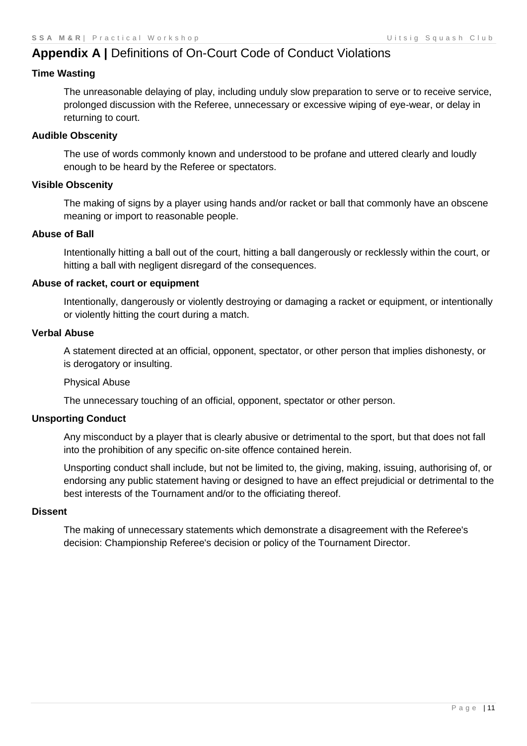# <span id="page-10-0"></span>**Appendix A |** Definitions of On-Court Code of Conduct Violations

#### **Time Wasting**

The unreasonable delaying of play, including unduly slow preparation to serve or to receive service, prolonged discussion with the Referee, unnecessary or excessive wiping of eye-wear, or delay in returning to court.

#### **Audible Obscenity**

The use of words commonly known and understood to be profane and uttered clearly and loudly enough to be heard by the Referee or spectators.

#### **Visible Obscenity**

The making of signs by a player using hands and/or racket or ball that commonly have an obscene meaning or import to reasonable people.

#### **Abuse of Ball**

Intentionally hitting a ball out of the court, hitting a ball dangerously or recklessly within the court, or hitting a ball with negligent disregard of the consequences.

#### **Abuse of racket, court or equipment**

Intentionally, dangerously or violently destroying or damaging a racket or equipment, or intentionally or violently hitting the court during a match.

#### **Verbal Abuse**

A statement directed at an official, opponent, spectator, or other person that implies dishonesty, or is derogatory or insulting.

#### Physical Abuse

The unnecessary touching of an official, opponent, spectator or other person.

#### **Unsporting Conduct**

Any misconduct by a player that is clearly abusive or detrimental to the sport, but that does not fall into the prohibition of any specific on-site offence contained herein.

Unsporting conduct shall include, but not be limited to, the giving, making, issuing, authorising of, or endorsing any public statement having or designed to have an effect prejudicial or detrimental to the best interests of the Tournament and/or to the officiating thereof.

#### **Dissent**

The making of unnecessary statements which demonstrate a disagreement with the Referee's decision: Championship Referee's decision or policy of the Tournament Director.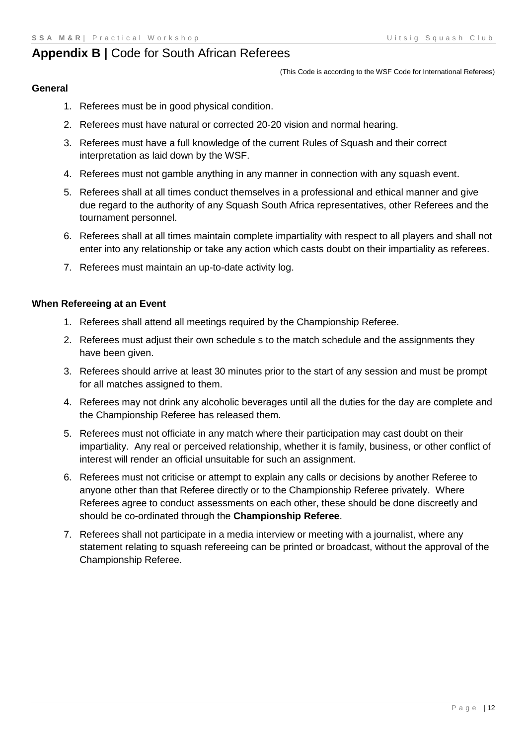# <span id="page-11-0"></span>**Appendix B |** Code for South African Referees

(This Code is according to the WSF Code for International Referees)

#### **General**

- 1. Referees must be in good physical condition.
- 2. Referees must have natural or corrected 20-20 vision and normal hearing.
- 3. Referees must have a full knowledge of the current Rules of Squash and their correct interpretation as laid down by the WSF.
- 4. Referees must not gamble anything in any manner in connection with any squash event.
- 5. Referees shall at all times conduct themselves in a professional and ethical manner and give due regard to the authority of any Squash South Africa representatives, other Referees and the tournament personnel.
- 6. Referees shall at all times maintain complete impartiality with respect to all players and shall not enter into any relationship or take any action which casts doubt on their impartiality as referees.
- 7. Referees must maintain an up-to-date activity log.

#### **When Refereeing at an Event**

- 1. Referees shall attend all meetings required by the Championship Referee.
- 2. Referees must adjust their own schedule s to the match schedule and the assignments they have been given.
- 3. Referees should arrive at least 30 minutes prior to the start of any session and must be prompt for all matches assigned to them.
- 4. Referees may not drink any alcoholic beverages until all the duties for the day are complete and the Championship Referee has released them.
- 5. Referees must not officiate in any match where their participation may cast doubt on their impartiality. Any real or perceived relationship, whether it is family, business, or other conflict of interest will render an official unsuitable for such an assignment.
- 6. Referees must not criticise or attempt to explain any calls or decisions by another Referee to anyone other than that Referee directly or to the Championship Referee privately. Where Referees agree to conduct assessments on each other, these should be done discreetly and should be co-ordinated through the **Championship Referee**.
- 7. Referees shall not participate in a media interview or meeting with a journalist, where any statement relating to squash refereeing can be printed or broadcast, without the approval of the Championship Referee.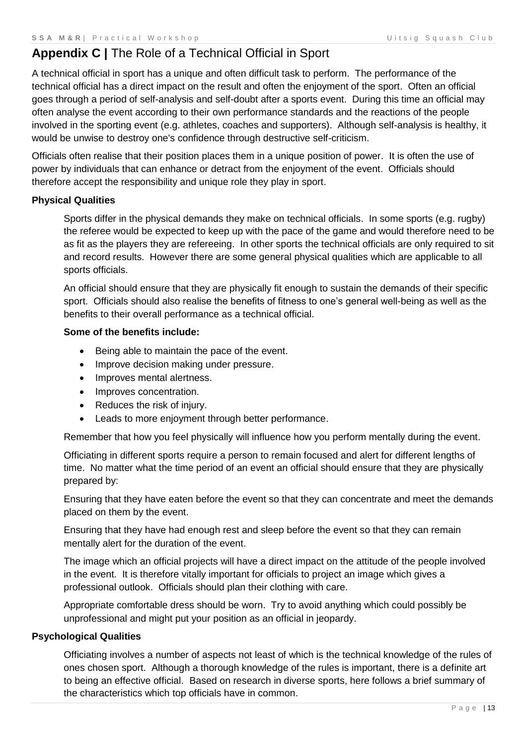# <span id="page-12-0"></span>**Appendix C |** The Role of a Technical Official in Sport

A technical official in sport has a unique and often difficult task to perform. The performance of the technical official has a direct impact on the result and often the enjoyment of the sport. Often an official goes through a period of self-analysis and self-doubt after a sports event. During this time an official may often analyse the event according to their own performance standards and the reactions of the people involved in the sporting event (e.g. athletes, coaches and supporters). Although self-analysis is healthy, it would be unwise to destroy one's confidence through destructive self-criticism.

Officials often realise that their position places them in a unique position of power. It is often the use of power by individuals that can enhance or detract from the enjoyment of the event. Officials should therefore accept the responsibility and unique role they play in sport.

#### **Physical Qualities**

Sports differ in the physical demands they make on technical officials. In some sports (e.g. rugby) the referee would be expected to keep up with the pace of the game and would therefore need to be as fit as the players they are refereeing. In other sports the technical officials are only required to sit and record results. However there are some general physical qualities which are applicable to all sports officials.

An official should ensure that they are physically fit enough to sustain the demands of their specific sport. Officials should also realise the benefits of fitness to one's general well-being as well as the benefits to their overall performance as a technical official.

#### **Some of the benefits include:**

- Being able to maintain the pace of the event.
- Improve decision making under pressure.
- Improves mental alertness.
- Improves concentration.
- Reduces the risk of injury.
- Leads to more enjoyment through better performance.

Remember that how you feel physically will influence how you perform mentally during the event.

Officiating in different sports require a person to remain focused and alert for different lengths of time. No matter what the time period of an event an official should ensure that they are physically prepared by:

Ensuring that they have eaten before the event so that they can concentrate and meet the demands placed on them by the event.

Ensuring that they have had enough rest and sleep before the event so that they can remain mentally alert for the duration of the event.

The image which an official projects will have a direct impact on the attitude of the people involved in the event. It is therefore vitally important for officials to project an image which gives a professional outlook. Officials should plan their clothing with care.

Appropriate comfortable dress should be worn. Try to avoid anything which could possibly be unprofessional and might put your position as an official in jeopardy.

#### **Psychological Qualities**

Officiating involves a number of aspects not least of which is the technical knowledge of the rules of ones chosen sport. Although a thorough knowledge of the rules is important, there is a definite art to being an effective official. Based on research in diverse sports, here follows a brief summary of the characteristics which top officials have in common.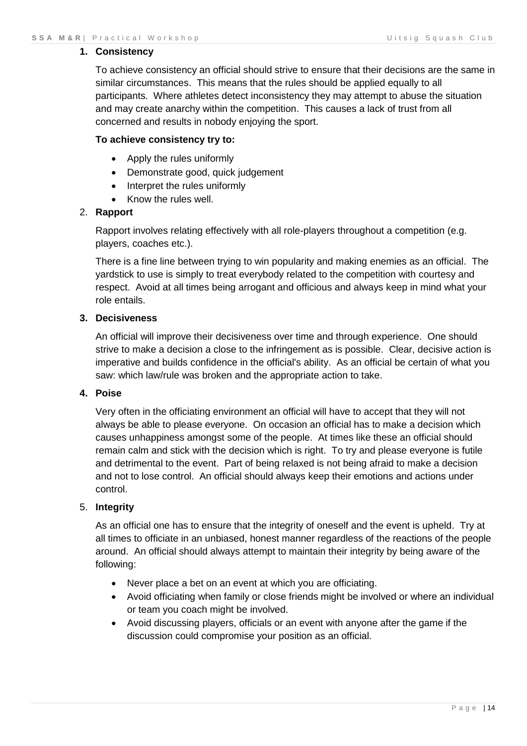#### **1. Consistency**

To achieve consistency an official should strive to ensure that their decisions are the same in similar circumstances. This means that the rules should be applied equally to all participants. Where athletes detect inconsistency they may attempt to abuse the situation and may create anarchy within the competition. This causes a lack of trust from all concerned and results in nobody enjoying the sport.

#### **To achieve consistency try to:**

- Apply the rules uniformly
- Demonstrate good, quick judgement
- Interpret the rules uniformly
- Know the rules well.

#### 2. **Rapport**

Rapport involves relating effectively with all role-players throughout a competition (e.g. players, coaches etc.).

There is a fine line between trying to win popularity and making enemies as an official. The yardstick to use is simply to treat everybody related to the competition with courtesy and respect. Avoid at all times being arrogant and officious and always keep in mind what your role entails.

#### **3. Decisiveness**

An official will improve their decisiveness over time and through experience. One should strive to make a decision a close to the infringement as is possible. Clear, decisive action is imperative and builds confidence in the official's ability. As an official be certain of what you saw: which law/rule was broken and the appropriate action to take.

#### **4. Poise**

Very often in the officiating environment an official will have to accept that they will not always be able to please everyone. On occasion an official has to make a decision which causes unhappiness amongst some of the people. At times like these an official should remain calm and stick with the decision which is right. To try and please everyone is futile and detrimental to the event. Part of being relaxed is not being afraid to make a decision and not to lose control. An official should always keep their emotions and actions under control.

#### 5. **Integrity**

As an official one has to ensure that the integrity of oneself and the event is upheld. Try at all times to officiate in an unbiased, honest manner regardless of the reactions of the people around. An official should always attempt to maintain their integrity by being aware of the following:

- Never place a bet on an event at which you are officiating.
- Avoid officiating when family or close friends might be involved or where an individual or team you coach might be involved.
- Avoid discussing players, officials or an event with anyone after the game if the discussion could compromise your position as an official.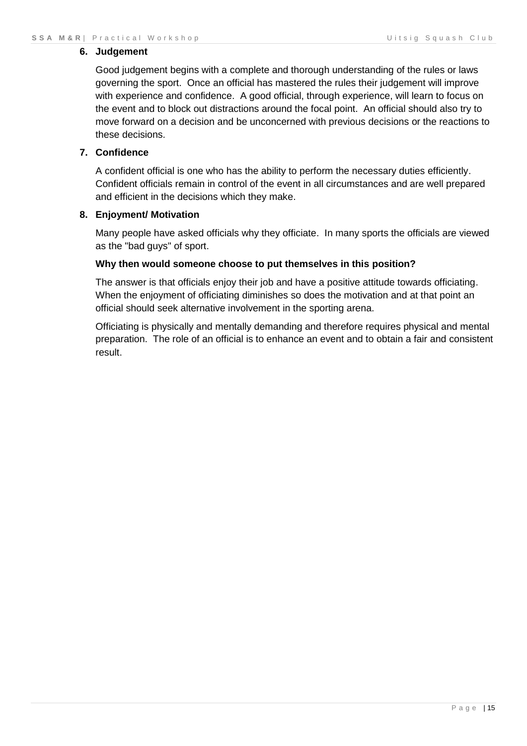#### **6. Judgement**

Good judgement begins with a complete and thorough understanding of the rules or laws governing the sport. Once an official has mastered the rules their judgement will improve with experience and confidence. A good official, through experience, will learn to focus on the event and to block out distractions around the focal point. An official should also try to move forward on a decision and be unconcerned with previous decisions or the reactions to these decisions.

#### **7. Confidence**

A confident official is one who has the ability to perform the necessary duties efficiently. Confident officials remain in control of the event in all circumstances and are well prepared and efficient in the decisions which they make.

#### **8. Enjoyment/ Motivation**

Many people have asked officials why they officiate. In many sports the officials are viewed as the "bad guys" of sport.

#### **Why then would someone choose to put themselves in this position?**

The answer is that officials enjoy their job and have a positive attitude towards officiating. When the enjoyment of officiating diminishes so does the motivation and at that point an official should seek alternative involvement in the sporting arena.

Officiating is physically and mentally demanding and therefore requires physical and mental preparation. The role of an official is to enhance an event and to obtain a fair and consistent result.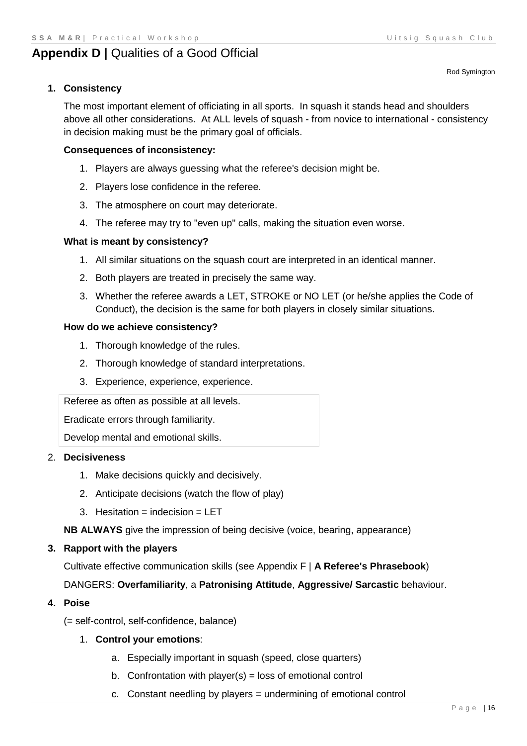Rod Symington

# <span id="page-15-0"></span>**Appendix D | Qualities of a Good Official**

# **1. Consistency**

The most important element of officiating in all sports. In squash it stands head and shoulders above all other considerations. At ALL levels of squash - from novice to international - consistency in decision making must be the primary goal of officials.

#### **Consequences of inconsistency:**

- 1. Players are always guessing what the referee's decision might be.
- 2. Players lose confidence in the referee.
- 3. The atmosphere on court may deteriorate.
- 4. The referee may try to "even up" calls, making the situation even worse.

#### **What is meant by consistency?**

- 1. All similar situations on the squash court are interpreted in an identical manner.
- 2. Both players are treated in precisely the same way.
- 3. Whether the referee awards a LET, STROKE or NO LET (or he/she applies the Code of Conduct), the decision is the same for both players in closely similar situations.

#### **How do we achieve consistency?**

- 1. Thorough knowledge of the rules.
- 2. Thorough knowledge of standard interpretations.
- 3. Experience, experience, experience.

Referee as often as possible at all levels.

Eradicate errors through familiarity.

Develop mental and emotional skills.

#### 2. **Decisiveness**

- 1. Make decisions quickly and decisively.
- 2. Anticipate decisions (watch the flow of play)
- 3. Hesitation = indecision =  $LET$

**NB ALWAYS** give the impression of being decisive (voice, bearing, appearance)

#### **3. Rapport with the players**

Cultivate effective communication skills (see Appendix F | **[A Referee's Phrasebook](#page-20-0)**)

DANGERS: **Overfamiliarity**, a **Patronising Attitude**, **Aggressive/ Sarcastic** behaviour.

#### **4. Poise**

(= self-control, self-confidence, balance)

#### 1. **Control your emotions**:

- a. Especially important in squash (speed, close quarters)
- b. Confrontation with player( $s$ ) = loss of emotional control
- c. Constant needling by players = undermining of emotional control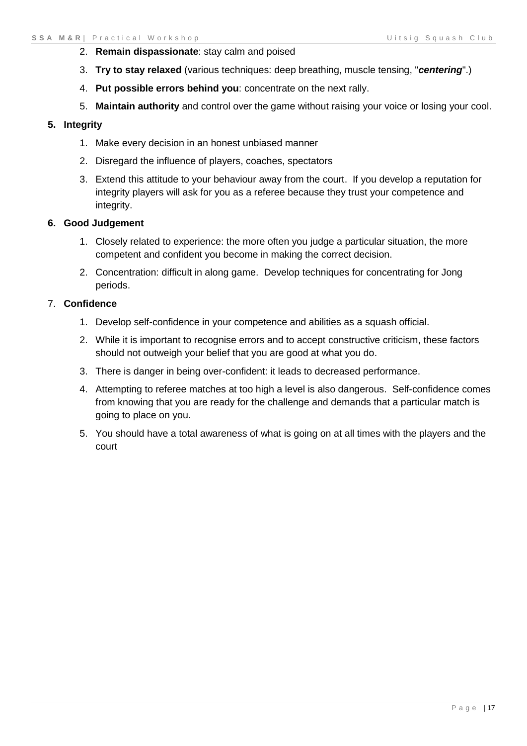- 2. **Remain dispassionate**: stay calm and poised
- 3. **Try to stay relaxed** (various techniques: deep breathing, muscle tensing, "*centering*".)
- 4. **Put possible errors behind you**: concentrate on the next rally.
- 5. **Maintain authority** and control over the game without raising your voice or losing your cool.

#### **5. Integrity**

- 1. Make every decision in an honest unbiased manner
- 2. Disregard the influence of players, coaches, spectators
- 3. Extend this attitude to your behaviour away from the court. If you develop a reputation for integrity players will ask for you as a referee because they trust your competence and integrity.

#### **6. Good Judgement**

- 1. Closely related to experience: the more often you judge a particular situation, the more competent and confident you become in making the correct decision.
- 2. Concentration: difficult in along game. Develop techniques for concentrating for Jong periods.

#### 7. **Confidence**

- 1. Develop self-confidence in your competence and abilities as a squash official.
- 2. While it is important to recognise errors and to accept constructive criticism, these factors should not outweigh your belief that you are good at what you do.
- 3. There is danger in being over-confident: it leads to decreased performance.
- 4. Attempting to referee matches at too high a level is also dangerous. Self-confidence comes from knowing that you are ready for the challenge and demands that a particular match is going to place on you.
- 5. You should have a total awareness of what is going on at all times with the players and the court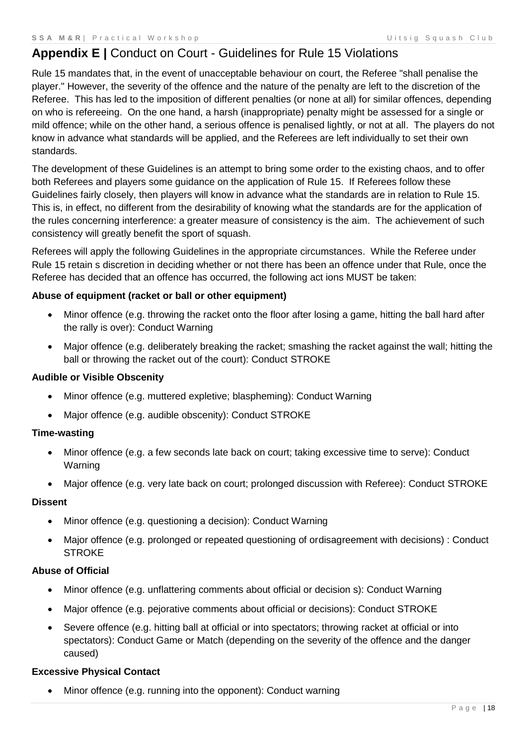# <span id="page-17-0"></span>**Appendix E |** Conduct on Court - Guidelines for Rule 15 Violations

Rule 15 mandates that, in the event of unacceptable behaviour on court, the Referee "shall penalise the player." However, the severity of the offence and the nature of the penalty are left to the discretion of the Referee. This has led to the imposition of different penalties (or none at all) for similar offences, depending on who is refereeing. On the one hand, a harsh (inappropriate) penalty might be assessed for a single or mild offence; while on the other hand, a serious offence is penalised lightly, or not at all. The players do not know in advance what standards will be applied, and the Referees are left individually to set their own standards.

The development of these Guidelines is an attempt to bring some order to the existing chaos, and to offer both Referees and players some guidance on the application of Rule 15. If Referees follow these Guidelines fairly closely, then players will know in advance what the standards are in relation to Rule 15. This is, in effect, no different from the desirability of knowing what the standards are for the application of the rules concerning interference: a greater measure of consistency is the aim. The achievement of such consistency will greatly benefit the sport of squash.

Referees will apply the following Guidelines in the appropriate circumstances. While the Referee under Rule 15 retain s discretion in deciding whether or not there has been an offence under that Rule, once the Referee has decided that an offence has occurred, the following act ions MUST be taken:

#### **Abuse of equipment (racket or ball or other equipment)**

- Minor offence (e.g. throwing the racket onto the floor after losing a game, hitting the ball hard after the rally is over): Conduct Warning
- Major offence (e.g. deliberately breaking the racket; smashing the racket against the wall; hitting the ball or throwing the racket out of the court): Conduct STROKE

#### **Audible or Visible Obscenity**

- Minor offence (e.g. muttered expletive; blaspheming): Conduct Warning
- Major offence (e.g. audible obscenity): Conduct STROKE

#### **Time-wasting**

- Minor offence (e.g. a few seconds late back on court; taking excessive time to serve): Conduct Warning
- Major offence (e.g. very late back on court; prolonged discussion with Referee): Conduct STROKE

#### **Dissent**

- Minor offence (e.g. questioning a decision): Conduct Warning
- Major offence (e.g. prolonged or repeated questioning of ordisagreement with decisions) : Conduct **STROKE**

#### **Abuse of Official**

- Minor offence (e.g. unflattering comments about official or decision s): Conduct Warning
- Major offence (e.g. pejorative comments about official or decisions): Conduct STROKE
- Severe offence (e.g. hitting ball at official or into spectators; throwing racket at official or into spectators): Conduct Game or Match (depending on the severity of the offence and the danger caused)

#### **Excessive Physical Contact**

Minor offence (e.g. running into the opponent): Conduct warning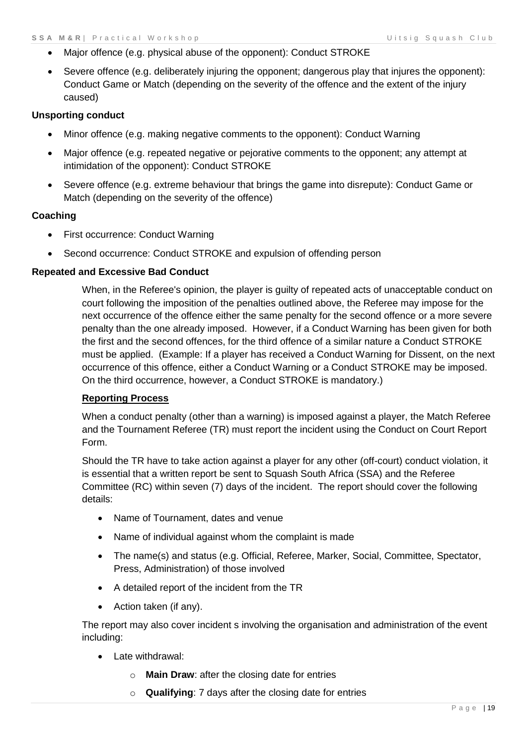- Major offence (e.g. physical abuse of the opponent): Conduct STROKE
- Severe offence (e.g. deliberately injuring the opponent; dangerous play that injures the opponent): Conduct Game or Match (depending on the severity of the offence and the extent of the injury caused)

#### **Unsporting conduct**

- Minor offence (e.g. making negative comments to the opponent): Conduct Warning
- Major offence (e.g. repeated negative or pejorative comments to the opponent; any attempt at intimidation of the opponent): Conduct STROKE
- Severe offence (e.g. extreme behaviour that brings the game into disrepute): Conduct Game or Match (depending on the severity of the offence)

#### **Coaching**

- First occurrence: Conduct Warning
- Second occurrence: Conduct STROKE and expulsion of offending person

#### **Repeated and Excessive Bad Conduct**

When, in the Referee's opinion, the player is guilty of repeated acts of unacceptable conduct on court following the imposition of the penalties outlined above, the Referee may impose for the next occurrence of the offence either the same penalty for the second offence or a more severe penalty than the one already imposed. However, if a Conduct Warning has been given for both the first and the second offences, for the third offence of a similar nature a Conduct STROKE must be applied. (Example: If a player has received a Conduct Warning for Dissent, on the next occurrence of this offence, either a Conduct Warning or a Conduct STROKE may be imposed. On the third occurrence, however, a Conduct STROKE is mandatory.)

#### **Reporting Process**

When a conduct penalty (other than a warning) is imposed against a player, the Match Referee and the Tournament Referee (TR) must report the incident using the Conduct on Court Report Form.

Should the TR have to take action against a player for any other (off-court) conduct violation, it is essential that a written report be sent to Squash South Africa (SSA) and the Referee Committee (RC) within seven (7) days of the incident. The report should cover the following details:

- Name of Tournament, dates and venue
- Name of individual against whom the complaint is made
- The name(s) and status (e.g. Official, Referee, Marker, Social, Committee, Spectator, Press, Administration) of those involved
- A detailed report of the incident from the TR
- Action taken (if any).

The report may also cover incident s involving the organisation and administration of the event including:

- Late withdrawal:
	- o **Main Draw**: after the closing date for entries
	- o **Qualifying**: 7 days after the closing date for entries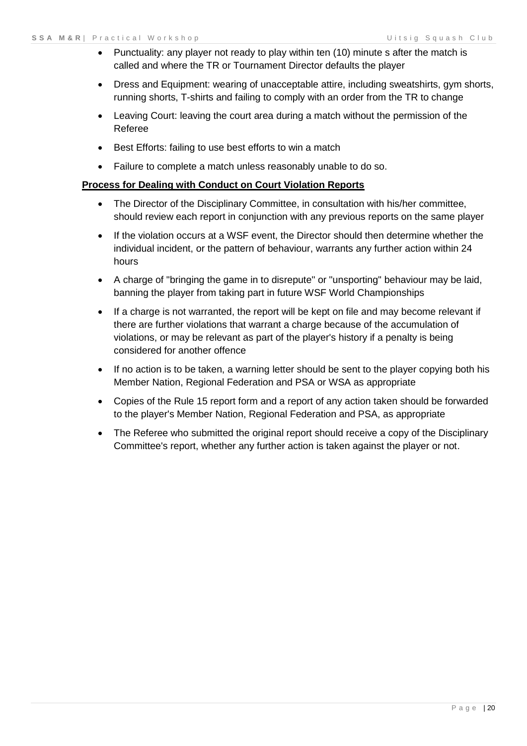- Punctuality: any player not ready to play within ten (10) minute s after the match is called and where the TR or Tournament Director defaults the player
- Dress and Equipment: wearing of unacceptable attire, including sweatshirts, gym shorts, running shorts, T-shirts and failing to comply with an order from the TR to change
- Leaving Court: leaving the court area during a match without the permission of the Referee
- Best Efforts: failing to use best efforts to win a match
- Failure to complete a match unless reasonably unable to do so.

#### **Process for Dealing with Conduct on Court Violation Reports**

- The Director of the Disciplinary Committee, in consultation with his/her committee, should review each report in conjunction with any previous reports on the same player
- If the violation occurs at a WSF event, the Director should then determine whether the individual incident, or the pattern of behaviour, warrants any further action within 24 hours
- A charge of "bringing the game in to disrepute" or "unsporting" behaviour may be laid, banning the player from taking part in future WSF World Championships
- If a charge is not warranted, the report will be kept on file and may become relevant if there are further violations that warrant a charge because of the accumulation of violations, or may be relevant as part of the player's history if a penalty is being considered for another offence
- If no action is to be taken, a warning letter should be sent to the player copying both his Member Nation, Regional Federation and PSA or WSA as appropriate
- Copies of the Rule 15 report form and a report of any action taken should be forwarded to the player's Member Nation, Regional Federation and PSA, as appropriate
- The Referee who submitted the original report should receive a copy of the Disciplinary Committee's report, whether any further action is taken against the player or not.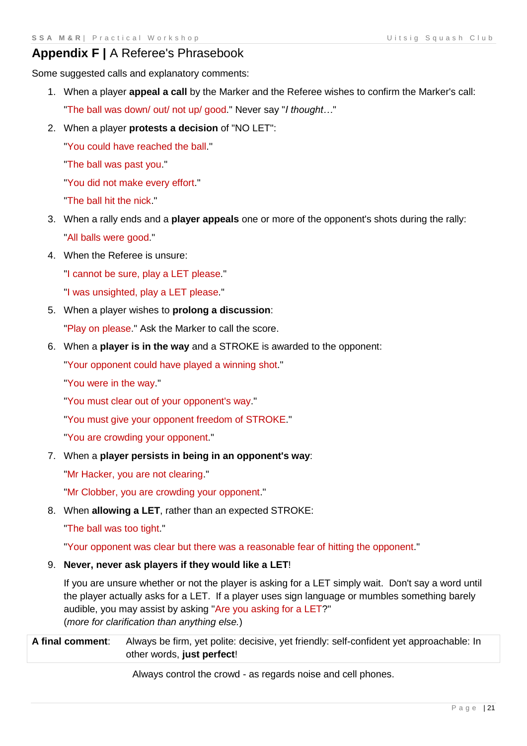# <span id="page-20-0"></span>**Appendix F |** A Referee's Phrasebook

Some suggested calls and explanatory comments:

- 1. When a player **appeal a call** by the Marker and the Referee wishes to confirm the Marker's call: "The ball was down/ out/ not up/ good." Never say "*I thought…*"
- 2. When a player **protests a decision** of "NO LET":

"You could have reached the ball.''

"The ball was past you."

"You did not make every effort."

"The ball hit the nick."

- 3. When a rally ends and a **player appeals** one or more of the opponent's shots during the rally: "All balls were good."
- 4. When the Referee is unsure:

"I cannot be sure, play a LET please."

"I was unsighted, play a LET please."

5. When a player wishes to **prolong a discussion**:

"Play on please." Ask the Marker to call the score.

6. When a **player is in the way** and a STROKE is awarded to the opponent:

"Your opponent could have played a winning shot."

"You were in the way."

- "You must clear out of your opponent's way."
- "You must give your opponent freedom of STROKE."
- "You are crowding your opponent."
- 7. When a **player persists in being in an opponent's way**:

"Mr Hacker, you are not clearing."

"Mr Clobber, you are crowding your opponent."

8. When **allowing a LET**, rather than an expected STROKE:

"The ball was too tight."

"Your opponent was clear but there was a reasonable fear of hitting the opponent."

#### 9. **Never, never ask players if they would like a LET**!

If you are unsure whether or not the player is asking for a LET simply wait. Don't say a word until the player actually asks for a LET. If a player uses sign language or mumbles something barely audible, you may assist by asking "Are you asking for a LET?" (*more for clarification than anything else.*)

**A final comment**: Always be firm, yet polite: decisive, yet friendly: self-confident yet approachable: In other words, **just perfect**!

Always control the crowd - as regards noise and cell phones.